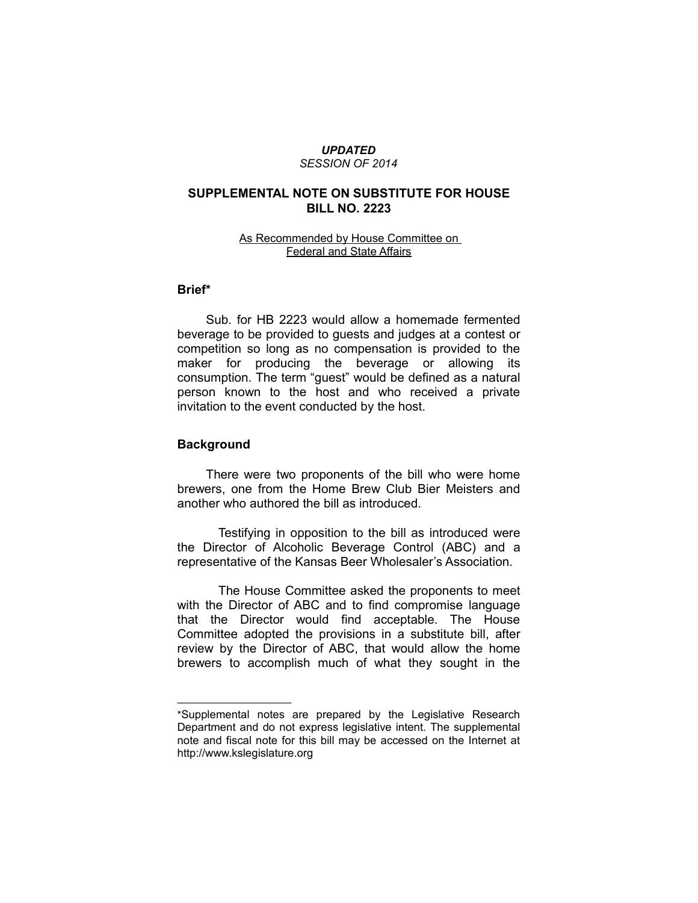#### *UPDATED SESSION OF 2014*

# **SUPPLEMENTAL NOTE ON SUBSTITUTE FOR HOUSE BILL NO. 2223**

### As Recommended by House Committee on Federal and State Affairs

### **Brief\***

Sub. for HB 2223 would allow a homemade fermented beverage to be provided to guests and judges at a contest or competition so long as no compensation is provided to the maker for producing the beverage or allowing its consumption. The term "guest" would be defined as a natural person known to the host and who received a private invitation to the event conducted by the host.

## **Background**

 $\overline{\phantom{a}}$  , where  $\overline{\phantom{a}}$ 

There were two proponents of the bill who were home brewers, one from the Home Brew Club Bier Meisters and another who authored the bill as introduced.

Testifying in opposition to the bill as introduced were the Director of Alcoholic Beverage Control (ABC) and a representative of the Kansas Beer Wholesaler's Association.

The House Committee asked the proponents to meet with the Director of ABC and to find compromise language that the Director would find acceptable. The House Committee adopted the provisions in a substitute bill, after review by the Director of ABC, that would allow the home brewers to accomplish much of what they sought in the

<sup>\*</sup>Supplemental notes are prepared by the Legislative Research Department and do not express legislative intent. The supplemental note and fiscal note for this bill may be accessed on the Internet at http://www.kslegislature.org